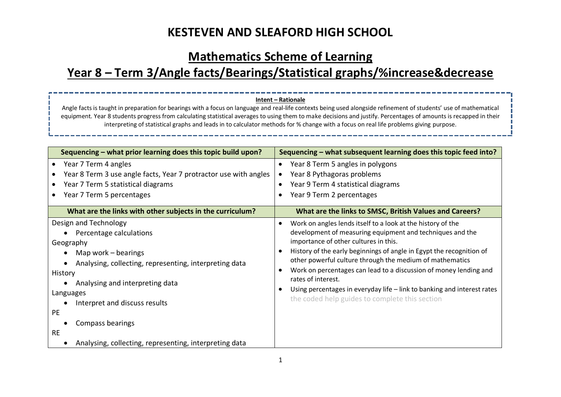### **Mathematics Scheme of Learning**

# **Year 8 – Term 3/Angle facts/Bearings/Statistical graphs/%increase&decrease**

#### **Intent – Rationale**

Angle facts is taught in preparation for bearings with a focus on language and real-life contexts being used alongside refinement of students' use of mathematical equipment. Year 8 students progress from calculating statistical averages to using them to make decisions and justify. Percentages of amounts is recapped in their interpreting of statistical graphs and leads in to calculator methods for % change with a focus on real life problems giving purpose.

| Sequencing – what prior learning does this topic build upon?                                                                                                                                                                                                                                                                                   | Sequencing – what subsequent learning does this topic feed into?                                                                                                                                                                                                                                                                                                                                                                                                                                                              |
|------------------------------------------------------------------------------------------------------------------------------------------------------------------------------------------------------------------------------------------------------------------------------------------------------------------------------------------------|-------------------------------------------------------------------------------------------------------------------------------------------------------------------------------------------------------------------------------------------------------------------------------------------------------------------------------------------------------------------------------------------------------------------------------------------------------------------------------------------------------------------------------|
| Year 7 Term 4 angles<br>$\bullet$<br>Year 8 Term 3 use angle facts, Year 7 protractor use with angles<br>Year 7 Term 5 statistical diagrams<br>Year 7 Term 5 percentages                                                                                                                                                                       | Year 8 Term 5 angles in polygons<br>Year 8 Pythagoras problems<br>Year 9 Term 4 statistical diagrams<br>Year 9 Term 2 percentages                                                                                                                                                                                                                                                                                                                                                                                             |
| What are the links with other subjects in the curriculum?                                                                                                                                                                                                                                                                                      | What are the links to SMSC, British Values and Careers?                                                                                                                                                                                                                                                                                                                                                                                                                                                                       |
| Design and Technology<br>Percentage calculations<br>Geography<br>Map work $-$ bearings<br>Analysing, collecting, representing, interpreting data<br>History<br>Analysing and interpreting data<br>Languages<br>Interpret and discuss results<br>PE.<br>Compass bearings<br><b>RE</b><br>Analysing, collecting, representing, interpreting data | Work on angles lends itself to a look at the history of the<br>development of measuring equipment and techniques and the<br>importance of other cultures in this.<br>History of the early beginnings of angle in Egypt the recognition of<br>other powerful culture through the medium of mathematics<br>Work on percentages can lead to a discussion of money lending and<br>rates of interest.<br>Using percentages in everyday life - link to banking and interest rates<br>the coded help guides to complete this section |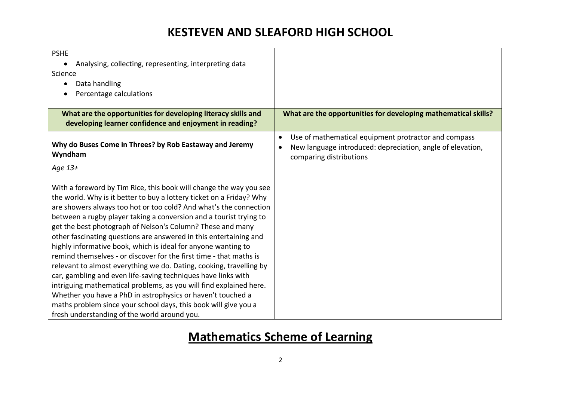| <b>PSHE</b><br>Analysing, collecting, representing, interpreting data<br>Science<br>Data handling<br>٠<br>Percentage calculations                                                                                                                                                                                                                                                                                                                                                                                                                                                                                                                                                                                                                                                                                                                                                                                                                               |                                                                                                                                                            |
|-----------------------------------------------------------------------------------------------------------------------------------------------------------------------------------------------------------------------------------------------------------------------------------------------------------------------------------------------------------------------------------------------------------------------------------------------------------------------------------------------------------------------------------------------------------------------------------------------------------------------------------------------------------------------------------------------------------------------------------------------------------------------------------------------------------------------------------------------------------------------------------------------------------------------------------------------------------------|------------------------------------------------------------------------------------------------------------------------------------------------------------|
| What are the opportunities for developing literacy skills and<br>developing learner confidence and enjoyment in reading?                                                                                                                                                                                                                                                                                                                                                                                                                                                                                                                                                                                                                                                                                                                                                                                                                                        | What are the opportunities for developing mathematical skills?                                                                                             |
| Why do Buses Come in Threes? by Rob Eastaway and Jeremy<br>Wyndham                                                                                                                                                                                                                                                                                                                                                                                                                                                                                                                                                                                                                                                                                                                                                                                                                                                                                              | Use of mathematical equipment protractor and compass<br>$\bullet$<br>New language introduced: depreciation, angle of elevation,<br>comparing distributions |
| Age 13+                                                                                                                                                                                                                                                                                                                                                                                                                                                                                                                                                                                                                                                                                                                                                                                                                                                                                                                                                         |                                                                                                                                                            |
| With a foreword by Tim Rice, this book will change the way you see<br>the world. Why is it better to buy a lottery ticket on a Friday? Why<br>are showers always too hot or too cold? And what's the connection<br>between a rugby player taking a conversion and a tourist trying to<br>get the best photograph of Nelson's Column? These and many<br>other fascinating questions are answered in this entertaining and<br>highly informative book, which is ideal for anyone wanting to<br>remind themselves - or discover for the first time - that maths is<br>relevant to almost everything we do. Dating, cooking, travelling by<br>car, gambling and even life-saving techniques have links with<br>intriguing mathematical problems, as you will find explained here.<br>Whether you have a PhD in astrophysics or haven't touched a<br>maths problem since your school days, this book will give you a<br>fresh understanding of the world around you. |                                                                                                                                                            |

# **Mathematics Scheme of Learning**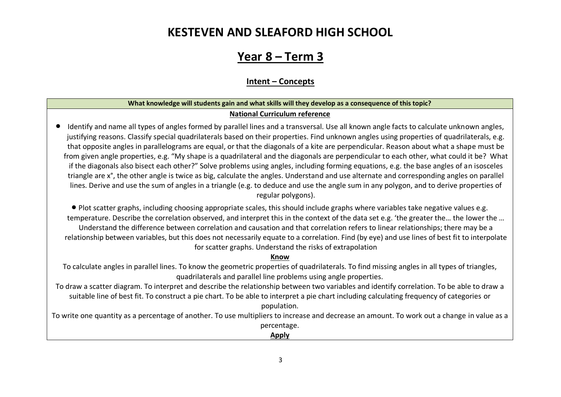### **Year 8 – Term 3**

### **Intent – Concepts**

### **What knowledge will students gain and what skills will they develop as a consequence of this topic? National Curriculum reference**

• Identify and name all types of angles formed by parallel lines and a transversal. Use all known angle facts to calculate unknown angles, justifying reasons. Classify special quadrilaterals based on their properties. Find unknown angles using properties of quadrilaterals, e.g. that opposite angles in parallelograms are equal, or that the diagonals of a kite are perpendicular. Reason about what a shape must be from given angle properties, e.g. "My shape is a quadrilateral and the diagonals are perpendicular to each other, what could it be? What if the diagonals also bisect each other?" Solve problems using angles, including forming equations, e.g. the base angles of an isosceles triangle are x°, the other angle is twice as big, calculate the angles. Understand and use alternate and corresponding angles on parallel lines. Derive and use the sum of angles in a triangle (e.g. to deduce and use the angle sum in any polygon, and to derive properties of regular polygons).

• Plot scatter graphs, including choosing appropriate scales, this should include graphs where variables take negative values e.g. temperature. Describe the correlation observed, and interpret this in the context of the data set e.g. 'the greater the… the lower the … Understand the difference between correlation and causation and that correlation refers to linear relationships; there may be a relationship between variables, but this does not necessarily equate to a correlation. Find (by eye) and use lines of best fit to interpolate for scatter graphs. Understand the risks of extrapolation

#### **Know**

To calculate angles in parallel lines. To know the geometric properties of quadrilaterals. To find missing angles in all types of triangles, quadrilaterals and parallel line problems using angle properties.

To draw a scatter diagram. To interpret and describe the relationship between two variables and identify correlation. To be able to draw a suitable line of best fit. To construct a pie chart. To be able to interpret a pie chart including calculating frequency of categories or population.

To write one quantity as a percentage of another. To use multipliers to increase and decrease an amount. To work out a change in value as a percentage.

**Apply**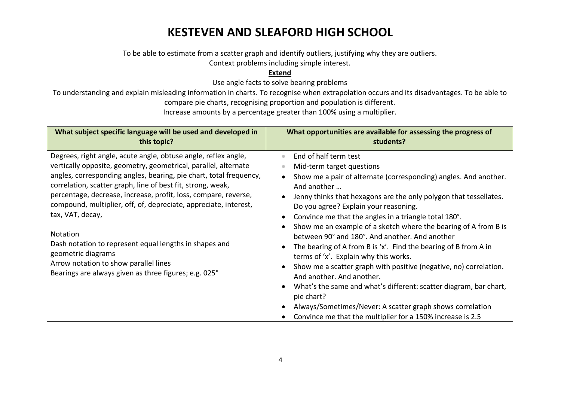| To be able to estimate from a scatter graph and identify outliers, justifying why they are outliers.                           |                                                                                                                                            |  |  |  |
|--------------------------------------------------------------------------------------------------------------------------------|--------------------------------------------------------------------------------------------------------------------------------------------|--|--|--|
| Context problems including simple interest.                                                                                    |                                                                                                                                            |  |  |  |
| <b>Extend</b>                                                                                                                  |                                                                                                                                            |  |  |  |
| Use angle facts to solve bearing problems                                                                                      |                                                                                                                                            |  |  |  |
|                                                                                                                                | To understanding and explain misleading information in charts. To recognise when extrapolation occurs and its disadvantages. To be able to |  |  |  |
|                                                                                                                                | compare pie charts, recognising proportion and population is different.                                                                    |  |  |  |
|                                                                                                                                | Increase amounts by a percentage greater than 100% using a multiplier.                                                                     |  |  |  |
| What subject specific language will be used and developed in<br>What opportunities are available for assessing the progress of |                                                                                                                                            |  |  |  |
| this topic?                                                                                                                    | students?                                                                                                                                  |  |  |  |
| Degrees, right angle, acute angle, obtuse angle, reflex angle,                                                                 | End of half term test<br>$\bullet$                                                                                                         |  |  |  |
| vertically opposite, geometry, geometrical, parallel, alternate                                                                | Mid-term target questions                                                                                                                  |  |  |  |
| angles, corresponding angles, bearing, pie chart, total frequency,                                                             | Show me a pair of alternate (corresponding) angles. And another.                                                                           |  |  |  |
| correlation, scatter graph, line of best fit, strong, weak,                                                                    | And another                                                                                                                                |  |  |  |
| percentage, decrease, increase, profit, loss, compare, reverse,                                                                | Jenny thinks that hexagons are the only polygon that tessellates.                                                                          |  |  |  |
| compound, multiplier, off, of, depreciate, appreciate, interest,                                                               | Do you agree? Explain your reasoning.                                                                                                      |  |  |  |
| tax, VAT, decay,                                                                                                               | Convince me that the angles in a triangle total 180°.                                                                                      |  |  |  |
|                                                                                                                                | Show me an example of a sketch where the bearing of A from B is                                                                            |  |  |  |
| Notation                                                                                                                       | between 90° and 180°. And another, And another                                                                                             |  |  |  |
| Dash notation to represent equal lengths in shapes and                                                                         | The bearing of A from B is 'x'. Find the bearing of B from A in                                                                            |  |  |  |
| geometric diagrams                                                                                                             | terms of 'x'. Explain why this works.                                                                                                      |  |  |  |
| Arrow notation to show parallel lines                                                                                          | Show me a scatter graph with positive (negative, no) correlation.                                                                          |  |  |  |
| Bearings are always given as three figures; e.g. 025°                                                                          | And another. And another.                                                                                                                  |  |  |  |
|                                                                                                                                | What's the same and what's different: scatter diagram, bar chart,                                                                          |  |  |  |
|                                                                                                                                | pie chart?                                                                                                                                 |  |  |  |
|                                                                                                                                | Always/Sometimes/Never: A scatter graph shows correlation                                                                                  |  |  |  |
|                                                                                                                                | Convince me that the multiplier for a 150% increase is 2.5                                                                                 |  |  |  |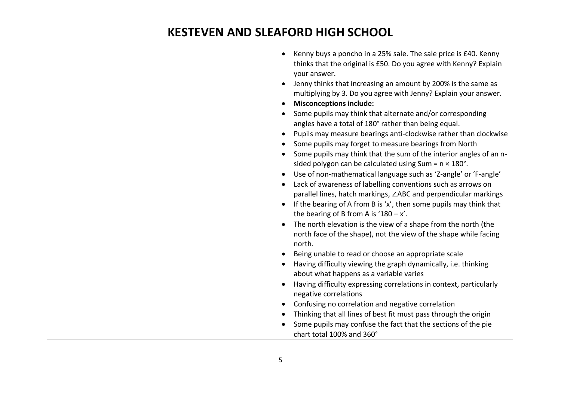| Kenny buys a poncho in a 25% sale. The sale price is £40. Kenny<br>$\bullet$<br>thinks that the original is £50. Do you agree with Kenny? Explain<br>your answer. |
|-------------------------------------------------------------------------------------------------------------------------------------------------------------------|
| Jenny thinks that increasing an amount by 200% is the same as<br>$\bullet$<br>multiplying by 3. Do you agree with Jenny? Explain your answer.                     |
| <b>Misconceptions include:</b><br>$\bullet$                                                                                                                       |
| Some pupils may think that alternate and/or corresponding<br>angles have a total of 180° rather than being equal.                                                 |
| Pupils may measure bearings anti-clockwise rather than clockwise<br>$\bullet$                                                                                     |
| Some pupils may forget to measure bearings from North                                                                                                             |
| Some pupils may think that the sum of the interior angles of an n-                                                                                                |
| sided polygon can be calculated using Sum = $n \times 180^\circ$ .                                                                                                |
| Use of non-mathematical language such as 'Z-angle' or 'F-angle'<br>$\bullet$                                                                                      |
| Lack of awareness of labelling conventions such as arrows on                                                                                                      |
| parallel lines, hatch markings, ∠ABC and perpendicular markings                                                                                                   |
| If the bearing of A from B is 'x', then some pupils may think that<br>$\bullet$<br>the bearing of B from A is '180 $-x'$ .                                        |
| The north elevation is the view of a shape from the north (the<br>$\bullet$                                                                                       |
| north face of the shape), not the view of the shape while facing<br>north.                                                                                        |
| Being unable to read or choose an appropriate scale                                                                                                               |
| Having difficulty viewing the graph dynamically, i.e. thinking                                                                                                    |
| about what happens as a variable varies                                                                                                                           |
| Having difficulty expressing correlations in context, particularly                                                                                                |
| negative correlations                                                                                                                                             |
| Confusing no correlation and negative correlation<br>$\bullet$                                                                                                    |
| Thinking that all lines of best fit must pass through the origin                                                                                                  |
| Some pupils may confuse the fact that the sections of the pie                                                                                                     |
| chart total 100% and 360°                                                                                                                                         |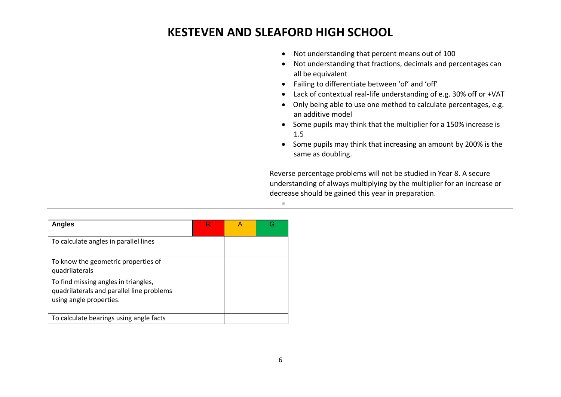| Not understanding that percent means out of 100<br>Not understanding that fractions, decimals and percentages can<br>all be equivalent<br>Failing to differentiate between 'of' and 'off'<br>Lack of contextual real-life understanding of e.g. 30% off or +VAT<br>Only being able to use one method to calculate percentages, e.g.<br>an additive model<br>Some pupils may think that the multiplier for a 150% increase is<br>1.5<br>Some pupils may think that increasing an amount by 200% is the<br>same as doubling. |
|----------------------------------------------------------------------------------------------------------------------------------------------------------------------------------------------------------------------------------------------------------------------------------------------------------------------------------------------------------------------------------------------------------------------------------------------------------------------------------------------------------------------------|
| Reverse percentage problems will not be studied in Year 8. A secure<br>understanding of always multiplying by the multiplier for an increase or<br>decrease should be gained this year in preparation.                                                                                                                                                                                                                                                                                                                     |

| <b>Angles</b>                                                                                                | R |  |
|--------------------------------------------------------------------------------------------------------------|---|--|
| To calculate angles in parallel lines                                                                        |   |  |
| To know the geometric properties of<br>quadrilaterals                                                        |   |  |
| To find missing angles in triangles,<br>quadrilaterals and parallel line problems<br>using angle properties. |   |  |
| To calculate bearings using angle facts                                                                      |   |  |